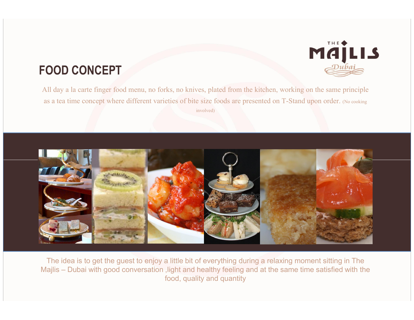## FOOD CONCEPT



MÄİLIS



The idea is to get the guest to enjoy a little bit of everything during a relaxing moment sitting in The Majlis – Dubai with good conversation , light and healthy feeling and at the same time satisfied with the food, quality and quantity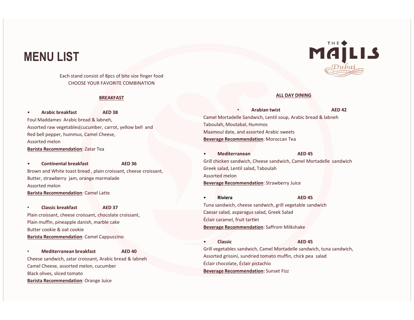## MENU LIST

Each stand consist of 8pcs of bite size finger food CHOOSE YOUR FAVORITE COMBINATION

#### BREAKFAST

Arabic breakfast AED 38 Foul Maddames Arabic bread & labneh, Assorted raw vegetables(cucumber, carrot, yellow bell and Red bell pepper, hummus, Camel Cheese, Assorted melon Barista Recommendation: Zatar Tea

Brown and White toast bread , plain croissant, cheese croissant, Butter, strawberry jam, orange marmalade Assorted melon Barista Recommendation: Camel Latte

• Classic breakfast AED 37 Plain croissant, cheese croissant, chocolate croissant, Plain muffin, pineapple danish, marble cake Butter cookie & oat cookie Barista Recommendation: Camel Cappuccino

• Mediterranean breakfast AED 40 Cheese sandwich, zatar croissant, Arabic bread & labneh Camel Cheese, assorted melon, cucumber Black olives, sliced tomato Barista Recommendation: Orange Juice



#### ALL DAY DINING

• Arabian twist AED 42 Camel Mortadelle Sandwich, Lentil soup, Arabic bread & labneh Taboulah, Moutabal, Hummos Maamoul date, and assorted Arabic sweets Beverage Recommendation: Moroccan Tea

• Mediterranean AED 45 • Continental breakfast **AED 36 Grill chicken sandwich, Cheese sandwich, Camel Mortadelle sandwich Camel Mortadelle Sandwich** Greek salad, Lentil salad, Taboulah Assorted melon Beverage Recommendation: Strawberry Juice

> • Riviera AED 45 Tuna sandwich, cheese sandwich, grill vegetable sandwich Caesar salad, asparagus salad, Greek Salad Éclair caramel, fruit tartlet **Beverage Recommendation:** Saffrom Milkshake

• Classic AED 45 Grill vegetables sandwich, Camel Mortadelle sandwich, tuna sandwich, Assorted grissini, sundried tomato muffin, chick pea salad Éclair chocolate, Éclair pistachio Beverage Recommendation: Sunset Fizz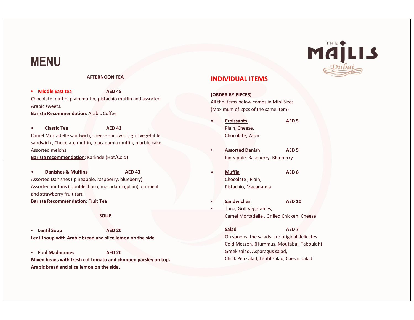## MENU

## AFTERNOON TEA

• Middle East tea AED 45 Chocolate muffin, plain muffin, pistachio muffin and assorted Arabic sweets. Barista Recommendation: Arabic Coffee

Classic Tea **AED 43** Camel Mortadelle sandwich, cheese sandwich, grill vegetable sandwich , Chocolate muffin, macadamia muffin, marble cake Assorted melons Barista recommendation: Karkade (Hot/Cold)

**Danishes & Muffins AED 43** Assorted Danishes ( pineapple, raspberry, blueberry) Assorted muffins ( doublechoco, macadamia,plain), oatmeal and strawberry fruit tart. Barista Recommendation: Fruit Tea

### **SOUP**

• Lentil Soup AED 20 Lentil soup with Arabic bread and slice lemon on the side

• Foul Madammes AED 20 Mixed beans with fresh cut tomato and chopped parsley on top. Arabic bread and slice lemon on the side.

## INDIVIDUAL ITEMS

(ORDER BY PIECES)

All the items below comes in Mini Sizes (Maximum of 2pcs of the same item)

- Croissants AED 5 Plain, Cheese, Chocolate, Zatar
- Assorted Danish AED 5 Pineapple, Raspberry, Blueberry
- Muffin AED 6 Chocolate , Plain, Pistachio, Macadamia
- Sandwiches AED 10 • Tuna, Grill Vegetables, Camel Mortadelle , Grilled Chicken, Cheese

Salad AED 7 On spoons, the salads are original delicates Cold Mezzeh, (Hummus, Moutabal, Taboulah) Greek salad, Asparagus salad,

Chick Pea salad, Lentil salad, Caesar salad

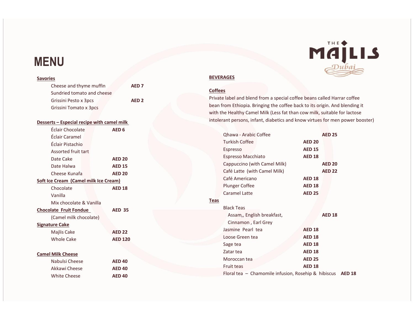## MENU

## **Savories** Cheese and thyme muffin **AED 7** Sundried tomato and cheese Grissini Pesto x 3pcs **AED 2** Grissini Tomato x 3pcs Desserts – Especial recipe with camel milk Éclair Chocolate AED 6 Éclair Caramel Éclair Pistachio Assorted fruit tart Date Cake **AED 20** Date Halwa **AED 15** Cheese Kunafa **AED 20** Soft Ice Cream (Camel milk Ice Cream) Chocolate **AED 18** Vanilla Mix chocolate & Vanilla Chocolate Fruit Fondue AED 35 (Camel milk chocolate) Signature Cake Majlis Cake **AED 22** Whole Cake **AED 120** Camel Milk Cheese Nabulsi Cheese **AED 40** Akkawi Cheese **AED 40**

White Cheese **AED 40** 

# MÄILIS

### **BEVERAGES**

### **Coffees**

Private label and blend from a special coffee beans called Harrar coffee bean from Ethiopia. Bringing the coffee back to its origin. And blending it with the Healthy Camel Milk (Less fat than cow milk, suitable for lactose intolerant persons, infant, diabetics and know virtues for men power booster)

|      | <b>Qhawa - Arabic Coffee</b>                        |               | <b>AED 25</b> |               |
|------|-----------------------------------------------------|---------------|---------------|---------------|
|      | Turkish Coffee                                      | <b>AED 20</b> |               |               |
|      | Espresso                                            | <b>AED 15</b> |               |               |
|      | <b>Espresso Macchiato</b>                           | <b>AED 18</b> |               |               |
|      | Cappuccino (with Camel Milk)                        |               | <b>AED 20</b> |               |
|      | Café Latte (with Camel Milk)                        |               | <b>AED 22</b> |               |
|      | Café Americano                                      | <b>AED 18</b> |               |               |
|      | <b>Plunger Coffee</b>                               | <b>AED 18</b> |               |               |
|      | <b>Caramel Latte</b>                                | <b>AED 25</b> |               |               |
| Teas |                                                     |               |               |               |
|      | <b>Black Teas</b>                                   |               |               |               |
|      | Assam,, English breakfast,                          |               | <b>AED 18</b> |               |
|      | Cinnamon, Earl Grey                                 |               |               |               |
|      | Jasmine Pearl tea                                   | <b>AED 18</b> |               |               |
|      | Loose Green tea                                     | <b>AED 18</b> |               |               |
|      | Sage tea                                            | <b>AED 18</b> |               |               |
|      | Zatar tea                                           | <b>AED 18</b> |               |               |
|      | Moroccan tea                                        | <b>AED 25</b> |               |               |
|      | <b>Fruit teas</b>                                   | <b>AED 18</b> |               |               |
|      | Floral tea - Chamomile infusion, Rosehip & hibiscus |               |               | <b>AED 18</b> |